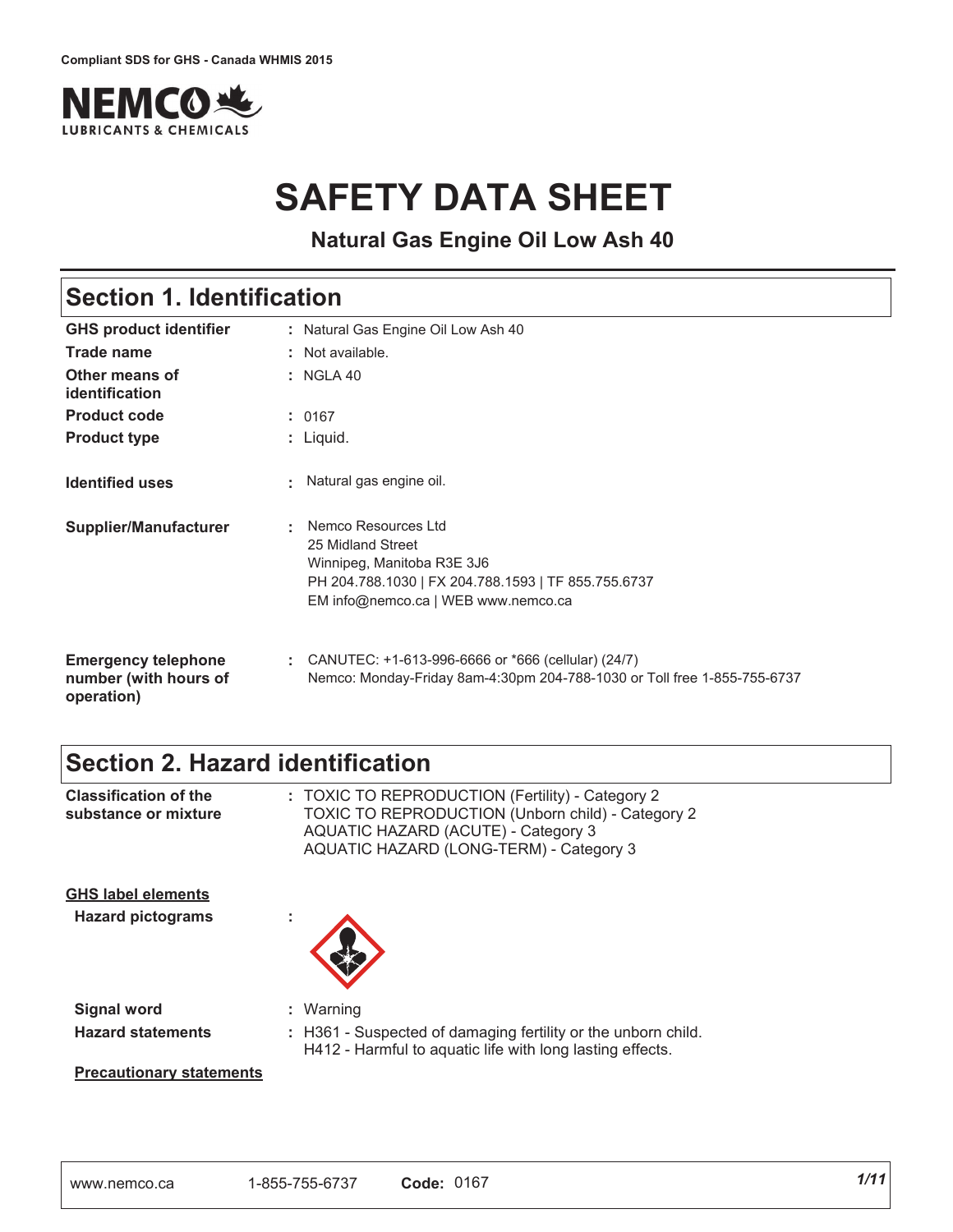

# **SAFETY DATA SHEET**

**Natural Gas Engine Oil Low Ash 40**

## **Section 1. Identification**

| <b>GHS product identifier</b>                                     | : Natural Gas Engine Oil Low Ash 40                                                                                                                                       |
|-------------------------------------------------------------------|---------------------------------------------------------------------------------------------------------------------------------------------------------------------------|
| Trade name                                                        | : Not available.                                                                                                                                                          |
| Other means of<br>identification                                  | $:$ NGLA 40                                                                                                                                                               |
| <b>Product code</b>                                               | : 0167                                                                                                                                                                    |
| <b>Product type</b>                                               | : Liquid.                                                                                                                                                                 |
| <b>Identified uses</b>                                            | : Natural gas engine oil.                                                                                                                                                 |
| <b>Supplier/Manufacturer</b>                                      | Nemco Resources Ltd<br>÷<br>25 Midland Street<br>Winnipeg, Manitoba R3E 3J6<br>PH 204.788.1030   FX 204.788.1593   TF 855.755.6737<br>EM info@nemco.ca   WEB www.nemco.ca |
| <b>Emergency telephone</b><br>number (with hours of<br>operation) | CANUTEC: +1-613-996-6666 or *666 (cellular) (24/7)<br>÷.<br>Nemco: Monday-Friday 8am-4:30pm 204-788-1030 or Toll free 1-855-755-6737                                      |

## **Section 2. Hazard identification**

| <b>Classification of the</b><br>substance or mixture                              | : TOXIC TO REPRODUCTION (Fertility) - Category 2<br>TOXIC TO REPRODUCTION (Unborn child) - Category 2<br>AQUATIC HAZARD (ACUTE) - Category 3<br>AQUATIC HAZARD (LONG-TERM) - Category 3 |
|-----------------------------------------------------------------------------------|-----------------------------------------------------------------------------------------------------------------------------------------------------------------------------------------|
| <b>GHS label elements</b><br><b>Hazard pictograms</b>                             | ×.                                                                                                                                                                                      |
| <b>Signal word</b><br><b>Hazard statements</b><br><b>Precautionary statements</b> | : Warning<br>: H361 - Suspected of damaging fertility or the unborn child.<br>H412 - Harmful to aquatic life with long lasting effects.                                                 |
|                                                                                   |                                                                                                                                                                                         |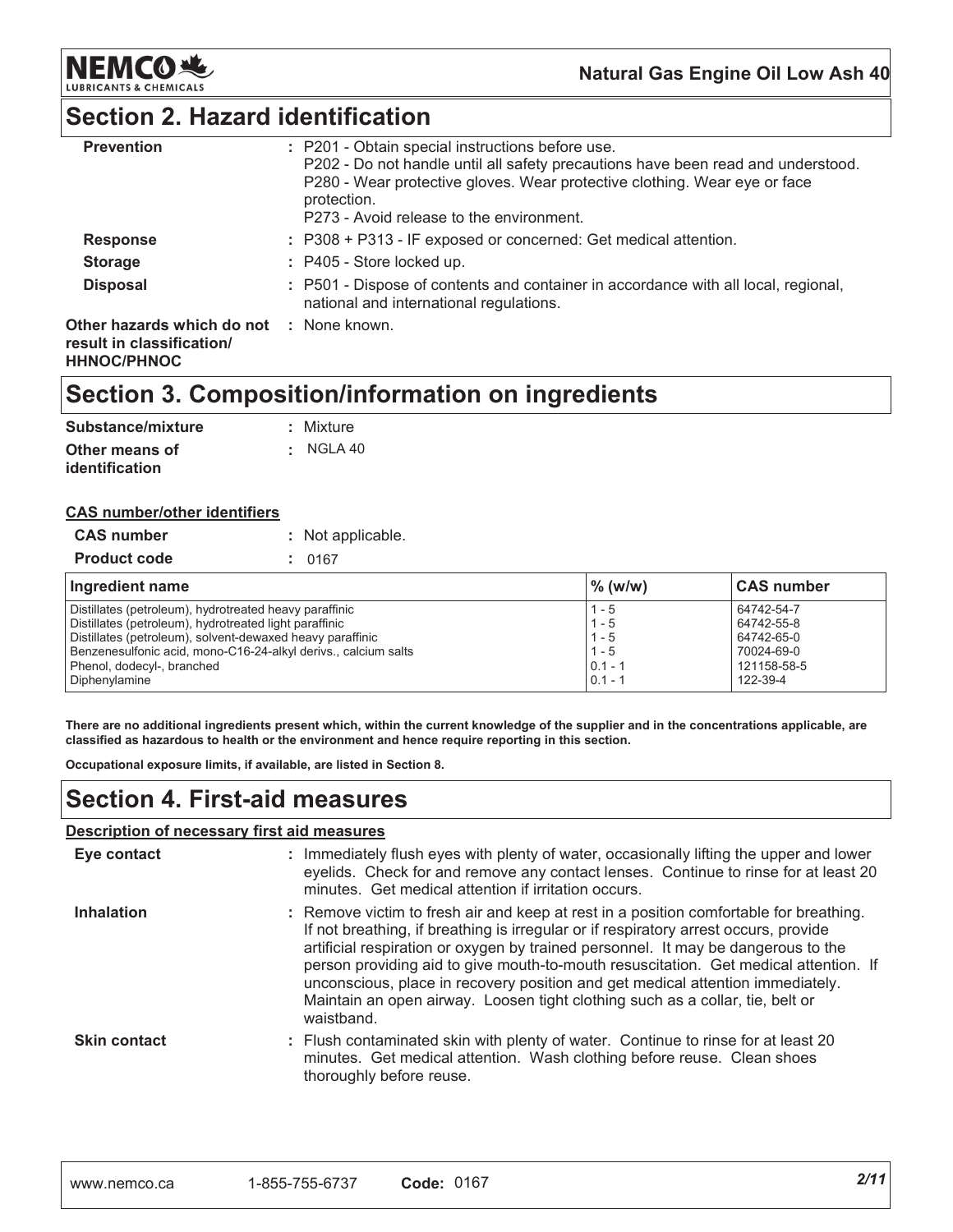

## **Section 2. Hazard identification**

| <b>Prevention</b>                                       | : P201 - Obtain special instructions before use.<br>P202 - Do not handle until all safety precautions have been read and understood.<br>P280 - Wear protective gloves. Wear protective clothing. Wear eye or face<br>protection.<br>P273 - Avoid release to the environment. |
|---------------------------------------------------------|------------------------------------------------------------------------------------------------------------------------------------------------------------------------------------------------------------------------------------------------------------------------------|
| <b>Response</b>                                         | : P308 + P313 - IF exposed or concerned: Get medical attention.                                                                                                                                                                                                              |
| <b>Storage</b>                                          | $:$ P405 - Store locked up.                                                                                                                                                                                                                                                  |
| <b>Disposal</b>                                         | : P501 - Dispose of contents and container in accordance with all local, regional,<br>national and international regulations.                                                                                                                                                |
| Other hazards which do not<br>result in classification/ | : None known.                                                                                                                                                                                                                                                                |

#### **HHNOC/PHNOC**

## **Section 3. Composition/information on ingredients**

| Substance/mixture | : Mixture            |
|-------------------|----------------------|
| Other means of    | $\therefore$ NGLA 40 |
| identification    |                      |

#### <u>CAS number/other identifiers</u>

| <b>CAS number</b>   | : Not applicable. |
|---------------------|-------------------|
| <b>Product code</b> | : 0167            |

| Ingredient name                                                | $\%$ (w/w) | <b>CAS number</b> |
|----------------------------------------------------------------|------------|-------------------|
| Distillates (petroleum), hydrotreated heavy paraffinic         | $1 - 5$    | 64742-54-7        |
| Distillates (petroleum), hydrotreated light paraffinic         | $1 - 5$    | 64742-55-8        |
| Distillates (petroleum), solvent-dewaxed heavy paraffinic      | $1 - 5$    | 64742-65-0        |
| Benzenesulfonic acid, mono-C16-24-alkyl derivs., calcium salts | $1 - 5$    | 70024-69-0        |
| Phenol, dodecyl-, branched                                     | $0.1 - 1$  | 121158-58-5       |
| Diphenylamine                                                  | $0.1 - 1$  | 122-39-4          |

There are no additional ingredients present which, within the current knowledge of the supplier and in the concentrations applicable, are classified as hazardous to health or the environment and hence require reporting in this section.

**Occupational exposure limits, if available, are listed in Section 8.** 

## **Section 4. First-aid measures**

#### <u>Description of necessary first aid measures</u>

| Eye contact         | : Immediately flush eyes with plenty of water, occasionally lifting the upper and lower<br>eyelids. Check for and remove any contact lenses. Continue to rinse for at least 20<br>minutes. Get medical attention if irritation occurs.                                                                                                                                                                                                                                                                                                       |
|---------------------|----------------------------------------------------------------------------------------------------------------------------------------------------------------------------------------------------------------------------------------------------------------------------------------------------------------------------------------------------------------------------------------------------------------------------------------------------------------------------------------------------------------------------------------------|
| <b>Inhalation</b>   | : Remove victim to fresh air and keep at rest in a position comfortable for breathing.<br>If not breathing, if breathing is irregular or if respiratory arrest occurs, provide<br>artificial respiration or oxygen by trained personnel. It may be dangerous to the<br>person providing aid to give mouth-to-mouth resuscitation. Get medical attention. If<br>unconscious, place in recovery position and get medical attention immediately.<br>Maintain an open airway. Loosen tight clothing such as a collar, tie, belt or<br>waistband. |
| <b>Skin contact</b> | : Flush contaminated skin with plenty of water. Continue to rinse for at least 20<br>minutes. Get medical attention. Wash clothing before reuse. Clean shoes<br>thoroughly before reuse.                                                                                                                                                                                                                                                                                                                                                     |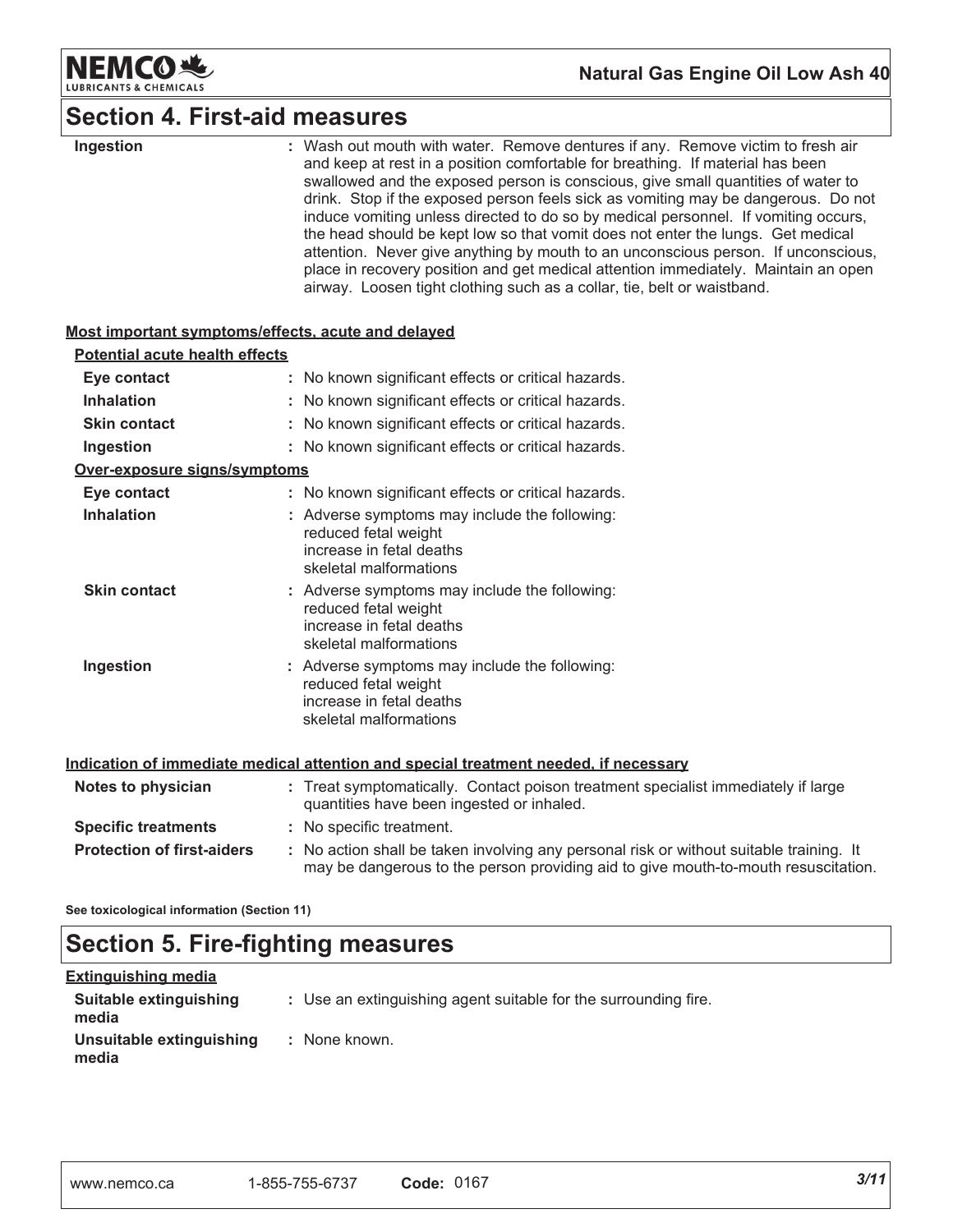

## **Section 4. First-aid measures**

| Ingestion                                          | : Wash out mouth with water. Remove dentures if any. Remove victim to fresh air<br>and keep at rest in a position comfortable for breathing. If material has been<br>swallowed and the exposed person is conscious, give small quantities of water to<br>drink. Stop if the exposed person feels sick as vomiting may be dangerous. Do not<br>induce vomiting unless directed to do so by medical personnel. If vomiting occurs,<br>the head should be kept low so that vomit does not enter the lungs. Get medical<br>attention. Never give anything by mouth to an unconscious person. If unconscious,<br>place in recovery position and get medical attention immediately. Maintain an open<br>airway. Loosen tight clothing such as a collar, tie, belt or waistband. |
|----------------------------------------------------|---------------------------------------------------------------------------------------------------------------------------------------------------------------------------------------------------------------------------------------------------------------------------------------------------------------------------------------------------------------------------------------------------------------------------------------------------------------------------------------------------------------------------------------------------------------------------------------------------------------------------------------------------------------------------------------------------------------------------------------------------------------------------|
| Most important symptoms/effects, acute and delayed |                                                                                                                                                                                                                                                                                                                                                                                                                                                                                                                                                                                                                                                                                                                                                                           |
| <b>Potential acute health effects</b>              |                                                                                                                                                                                                                                                                                                                                                                                                                                                                                                                                                                                                                                                                                                                                                                           |
| Eye contact                                        | : No known significant effects or critical hazards.                                                                                                                                                                                                                                                                                                                                                                                                                                                                                                                                                                                                                                                                                                                       |
| <b>Inhalation</b>                                  | : No known significant effects or critical hazards.                                                                                                                                                                                                                                                                                                                                                                                                                                                                                                                                                                                                                                                                                                                       |
| <b>Skin contact</b>                                | : No known significant effects or critical hazards.                                                                                                                                                                                                                                                                                                                                                                                                                                                                                                                                                                                                                                                                                                                       |
| Ingestion                                          | : No known significant effects or critical hazards.                                                                                                                                                                                                                                                                                                                                                                                                                                                                                                                                                                                                                                                                                                                       |
| Over-exposure signs/symptoms                       |                                                                                                                                                                                                                                                                                                                                                                                                                                                                                                                                                                                                                                                                                                                                                                           |
| Eye contact                                        | : No known significant effects or critical hazards.                                                                                                                                                                                                                                                                                                                                                                                                                                                                                                                                                                                                                                                                                                                       |
| <b>Inhalation</b>                                  | : Adverse symptoms may include the following:<br>reduced fetal weight<br>increase in fetal deaths<br>skeletal malformations                                                                                                                                                                                                                                                                                                                                                                                                                                                                                                                                                                                                                                               |
| <b>Skin contact</b>                                | : Adverse symptoms may include the following:<br>reduced fetal weight<br>increase in fetal deaths<br>skeletal malformations                                                                                                                                                                                                                                                                                                                                                                                                                                                                                                                                                                                                                                               |
| Ingestion                                          | : Adverse symptoms may include the following:<br>reduced fetal weight<br>increase in fetal deaths<br>skeletal malformations                                                                                                                                                                                                                                                                                                                                                                                                                                                                                                                                                                                                                                               |
|                                                    | Indication of immediate medical attention and special treatment needed, if necessary                                                                                                                                                                                                                                                                                                                                                                                                                                                                                                                                                                                                                                                                                      |
| Notes to physician                                 | : Treat symptomatically. Contact poison treatment specialist immediately if large<br>quantities have been ingested or inhaled.                                                                                                                                                                                                                                                                                                                                                                                                                                                                                                                                                                                                                                            |
| <b>Specific treatments</b>                         | : No specific treatment.                                                                                                                                                                                                                                                                                                                                                                                                                                                                                                                                                                                                                                                                                                                                                  |
| <b>Protection of first-aiders</b>                  | : No action shall be taken involving any personal risk or without suitable training. It<br>may be dangerous to the person providing aid to give mouth-to-mouth resuscitation.                                                                                                                                                                                                                                                                                                                                                                                                                                                                                                                                                                                             |

See toxicological information (Section 11)

## **Section 5. Fire-fighting measures**

| <u>Extinguishing media</u>        |                                                                 |
|-----------------------------------|-----------------------------------------------------------------|
| Suitable extinguishing<br>media   | : Use an extinguishing agent suitable for the surrounding fire. |
| Unsuitable extinguishing<br>media | : None known.                                                   |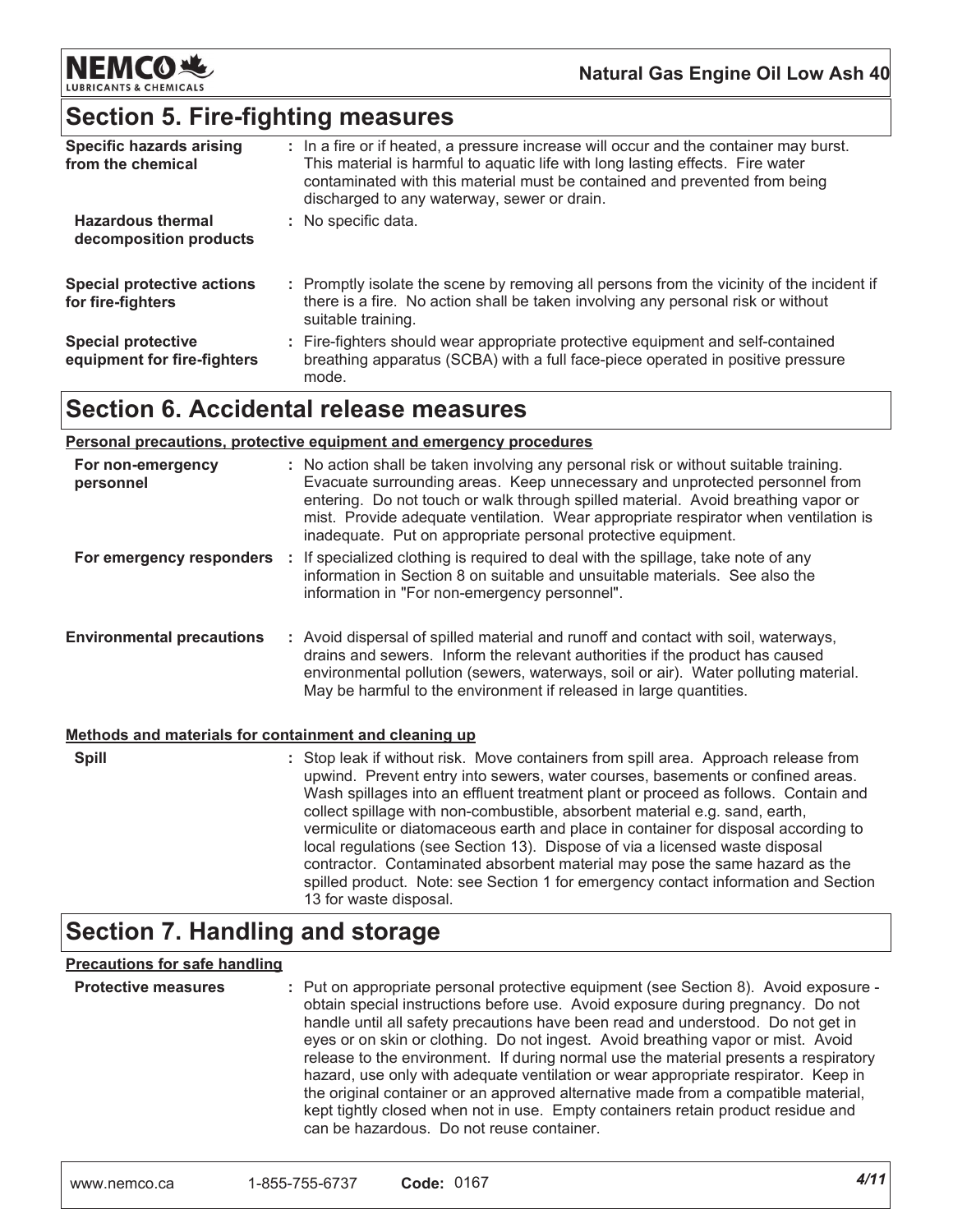

## **Section 5. Fire-fighting measures**

| <b>Specific hazards arising</b><br>from the chemical     | : In a fire or if heated, a pressure increase will occur and the container may burst.<br>This material is harmful to aquatic life with long lasting effects. Fire water<br>contaminated with this material must be contained and prevented from being<br>discharged to any waterway, sewer or drain. |
|----------------------------------------------------------|------------------------------------------------------------------------------------------------------------------------------------------------------------------------------------------------------------------------------------------------------------------------------------------------------|
| <b>Hazardous thermal</b><br>decomposition products       | : No specific data.                                                                                                                                                                                                                                                                                  |
| <b>Special protective actions</b><br>for fire-fighters   | : Promptly isolate the scene by removing all persons from the vicinity of the incident if<br>there is a fire. No action shall be taken involving any personal risk or without<br>suitable training.                                                                                                  |
| <b>Special protective</b><br>equipment for fire-fighters | : Fire-fighters should wear appropriate protective equipment and self-contained<br>breathing apparatus (SCBA) with a full face-piece operated in positive pressure<br>mode.                                                                                                                          |

## **Section 6. Accidental release measures**

|                                                       | <u>Personal precautions, protective equipment and emergency procedures</u>                                                                                                                                                                                                                                                                                                                                                                                                                                                                                                                      |
|-------------------------------------------------------|-------------------------------------------------------------------------------------------------------------------------------------------------------------------------------------------------------------------------------------------------------------------------------------------------------------------------------------------------------------------------------------------------------------------------------------------------------------------------------------------------------------------------------------------------------------------------------------------------|
| For non-emergency<br>personnel                        | : No action shall be taken involving any personal risk or without suitable training.<br>Evacuate surrounding areas. Keep unnecessary and unprotected personnel from<br>entering. Do not touch or walk through spilled material. Avoid breathing vapor or<br>mist. Provide adequate ventilation. Wear appropriate respirator when ventilation is<br>inadequate. Put on appropriate personal protective equipment.                                                                                                                                                                                |
| For emergency responders :                            | If specialized clothing is required to deal with the spillage, take note of any<br>information in Section 8 on suitable and unsuitable materials. See also the<br>information in "For non-emergency personnel".                                                                                                                                                                                                                                                                                                                                                                                 |
| <b>Environmental precautions</b>                      | : Avoid dispersal of spilled material and runoff and contact with soil, waterways,<br>drains and sewers. Inform the relevant authorities if the product has caused<br>environmental pollution (sewers, waterways, soil or air). Water polluting material.<br>May be harmful to the environment if released in large quantities.                                                                                                                                                                                                                                                                 |
| Methods and materials for containment and cleaning up |                                                                                                                                                                                                                                                                                                                                                                                                                                                                                                                                                                                                 |
| <b>Spill</b>                                          | : Stop leak if without risk. Move containers from spill area. Approach release from<br>upwind. Prevent entry into sewers, water courses, basements or confined areas.<br>Wash spillages into an effluent treatment plant or proceed as follows. Contain and<br>collect spillage with non-combustible, absorbent material e.g. sand, earth,<br>vermiculite or diatomaceous earth and place in container for disposal according to<br>local regulations (see Section 13). Dispose of via a licensed waste disposal<br>contractor. Contaminated absorbent material may pose the same hazard as the |

## **Section 7. Handling and storage**

#### **Precautions for safe handling**

| <b>Protective measures</b> | : Put on appropriate personal protective equipment (see Section 8). Avoid exposure -<br>obtain special instructions before use. Avoid exposure during pregnancy. Do not<br>handle until all safety precautions have been read and understood. Do not get in<br>eyes or on skin or clothing. Do not ingest. Avoid breathing vapor or mist. Avoid<br>release to the environment. If during normal use the material presents a respiratory<br>hazard, use only with adequate ventilation or wear appropriate respirator. Keep in<br>the original container or an approved alternative made from a compatible material,<br>kept tightly closed when not in use. Empty containers retain product residue and<br>can be hazardous. Do not reuse container. |
|----------------------------|------------------------------------------------------------------------------------------------------------------------------------------------------------------------------------------------------------------------------------------------------------------------------------------------------------------------------------------------------------------------------------------------------------------------------------------------------------------------------------------------------------------------------------------------------------------------------------------------------------------------------------------------------------------------------------------------------------------------------------------------------|
|----------------------------|------------------------------------------------------------------------------------------------------------------------------------------------------------------------------------------------------------------------------------------------------------------------------------------------------------------------------------------------------------------------------------------------------------------------------------------------------------------------------------------------------------------------------------------------------------------------------------------------------------------------------------------------------------------------------------------------------------------------------------------------------|

13 for waste disposal.

spilled product. Note: see Section 1 for emergency contact information and Section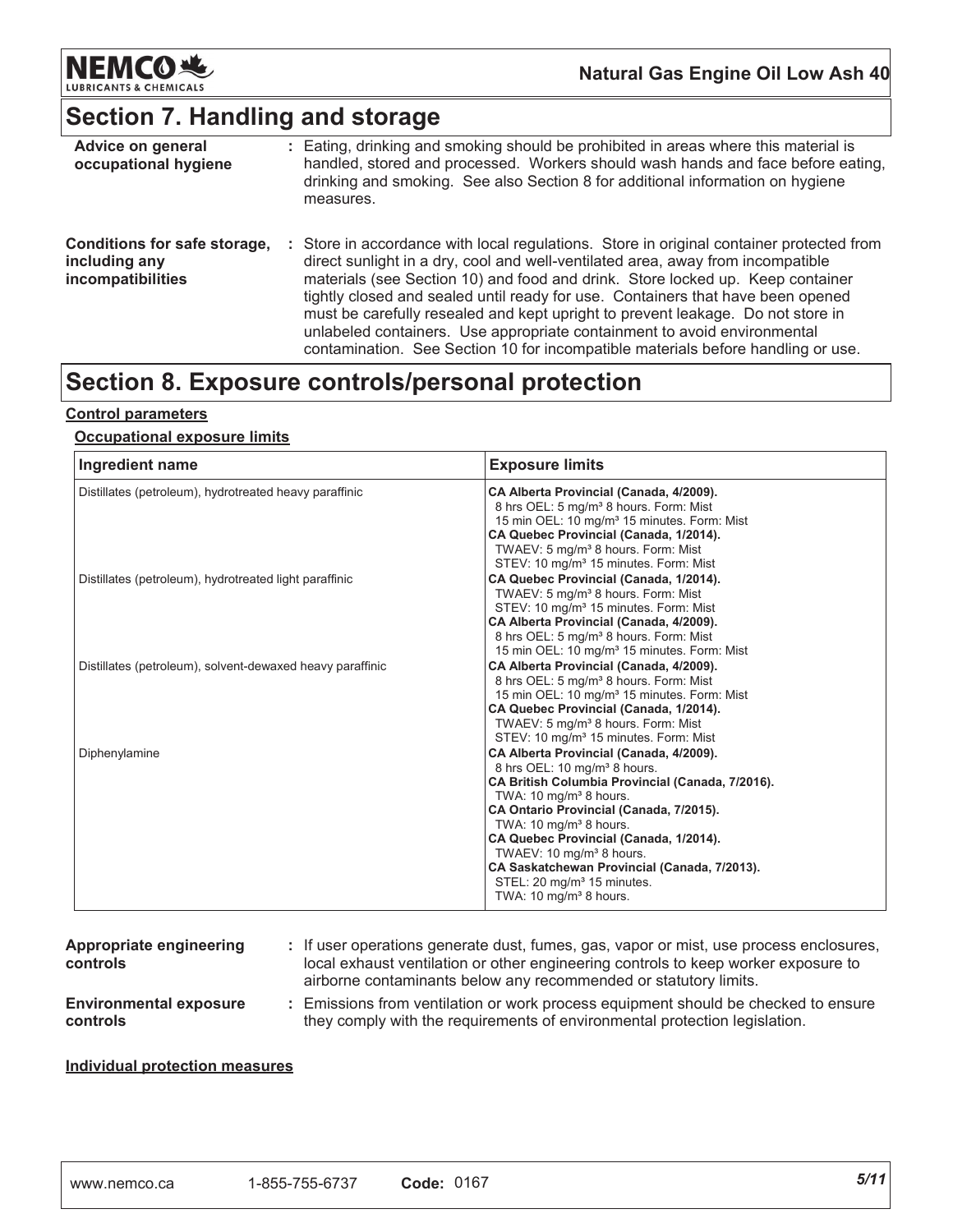

# **Section 7. Handling and storage**

| Advice on general<br>occupational hygiene                          |    | : Eating, drinking and smoking should be prohibited in areas where this material is<br>handled, stored and processed. Workers should wash hands and face before eating,<br>drinking and smoking. See also Section 8 for additional information on hygiene<br>measures.                                                                                                                                                                                                                                                                                                                            |
|--------------------------------------------------------------------|----|---------------------------------------------------------------------------------------------------------------------------------------------------------------------------------------------------------------------------------------------------------------------------------------------------------------------------------------------------------------------------------------------------------------------------------------------------------------------------------------------------------------------------------------------------------------------------------------------------|
| Conditions for safe storage,<br>including any<br>incompatibilities | ÷. | Store in accordance with local regulations. Store in original container protected from<br>direct sunlight in a dry, cool and well-ventilated area, away from incompatible<br>materials (see Section 10) and food and drink. Store locked up. Keep container<br>tightly closed and sealed until ready for use. Containers that have been opened<br>must be carefully resealed and kept upright to prevent leakage. Do not store in<br>unlabeled containers. Use appropriate containment to avoid environmental<br>contamination. See Section 10 for incompatible materials before handling or use. |

## Section 8. Exposure controls/personal protection

#### **Control parameters**

#### **Occupational exposure limits**

| Ingredient name                                           | <b>Exposure limits</b>                                                                                                                                                                                                                                                                                                                                                                                                                                                         |
|-----------------------------------------------------------|--------------------------------------------------------------------------------------------------------------------------------------------------------------------------------------------------------------------------------------------------------------------------------------------------------------------------------------------------------------------------------------------------------------------------------------------------------------------------------|
| Distillates (petroleum), hydrotreated heavy paraffinic    | CA Alberta Provincial (Canada, 4/2009).<br>8 hrs OEL: 5 mg/m <sup>3</sup> 8 hours. Form: Mist<br>15 min OEL: 10 mg/m <sup>3</sup> 15 minutes. Form: Mist<br>CA Quebec Provincial (Canada, 1/2014).<br>TWAEV: 5 mg/m <sup>3</sup> 8 hours. Form: Mist<br>STEV: 10 mg/m <sup>3</sup> 15 minutes. Form: Mist                                                                                                                                                                      |
| Distillates (petroleum), hydrotreated light paraffinic    | CA Quebec Provincial (Canada, 1/2014).<br>TWAEV: 5 mg/m <sup>3</sup> 8 hours. Form: Mist<br>STEV: 10 mg/m <sup>3</sup> 15 minutes. Form: Mist<br>CA Alberta Provincial (Canada, 4/2009).<br>8 hrs OEL: 5 mg/m <sup>3</sup> 8 hours. Form: Mist<br>15 min OEL: 10 mg/m <sup>3</sup> 15 minutes. Form: Mist                                                                                                                                                                      |
| Distillates (petroleum), solvent-dewaxed heavy paraffinic | CA Alberta Provincial (Canada, 4/2009).<br>8 hrs OEL: 5 mg/m <sup>3</sup> 8 hours. Form: Mist<br>15 min OEL: 10 mg/m <sup>3</sup> 15 minutes. Form: Mist<br>CA Quebec Provincial (Canada, 1/2014).<br>TWAEV: 5 mg/m <sup>3</sup> 8 hours. Form: Mist<br>STEV: 10 mg/m <sup>3</sup> 15 minutes. Form: Mist                                                                                                                                                                      |
| Diphenylamine                                             | CA Alberta Provincial (Canada, 4/2009).<br>8 hrs OEL: 10 mg/m <sup>3</sup> 8 hours.<br>CA British Columbia Provincial (Canada, 7/2016).<br>TWA: $10 \text{ mg/m}^3$ 8 hours.<br>CA Ontario Provincial (Canada, 7/2015).<br>TWA: $10 \text{ mg/m}^3$ 8 hours.<br>CA Quebec Provincial (Canada, 1/2014).<br>TWAEV: 10 mg/m <sup>3</sup> 8 hours.<br>CA Saskatchewan Provincial (Canada, 7/2013).<br>STEL: 20 mg/m <sup>3</sup> 15 minutes.<br>TWA: 10 mg/m <sup>3</sup> 8 hours. |

| Appropriate engineering<br>controls              | : If user operations generate dust, fumes, gas, vapor or mist, use process enclosures,<br>local exhaust ventilation or other engineering controls to keep worker exposure to<br>airborne contaminants below any recommended or statutory limits. |
|--------------------------------------------------|--------------------------------------------------------------------------------------------------------------------------------------------------------------------------------------------------------------------------------------------------|
| <b>Environmental exposure</b><br><b>controls</b> | Emissions from ventilation or work process equipment should be checked to ensure<br>they comply with the requirements of environmental protection legislation.                                                                                   |

#### **Individual protection measures**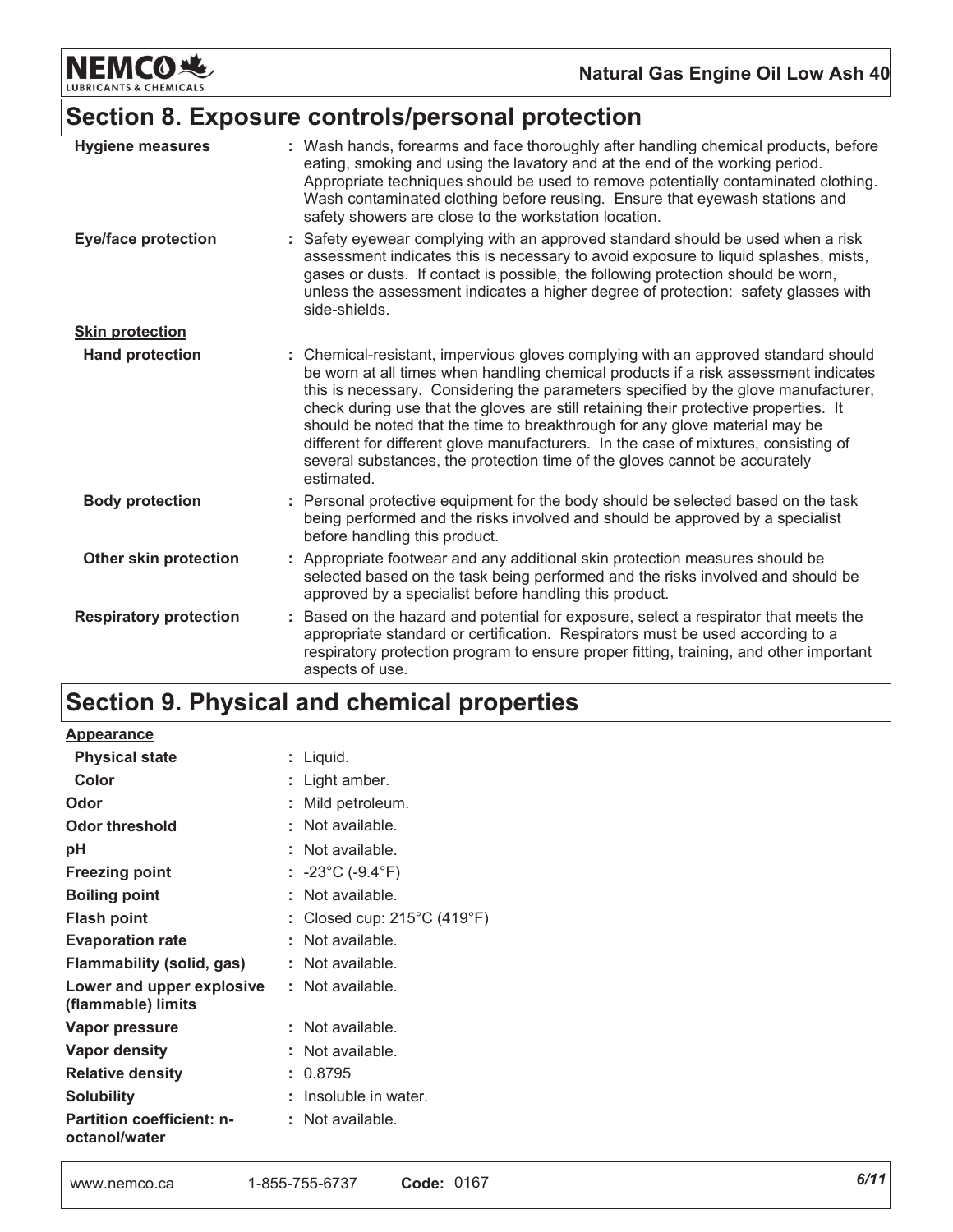**NEMCO业 LUBRICANTS & CHEMICALS** 

## Section 8. Exposure controls/personal protection

| <b>Hygiene measures</b>       | : Wash hands, forearms and face thoroughly after handling chemical products, before<br>eating, smoking and using the lavatory and at the end of the working period.<br>Appropriate techniques should be used to remove potentially contaminated clothing.<br>Wash contaminated clothing before reusing. Ensure that eyewash stations and<br>safety showers are close to the workstation location.                                                                                                                                                                                                                         |
|-------------------------------|---------------------------------------------------------------------------------------------------------------------------------------------------------------------------------------------------------------------------------------------------------------------------------------------------------------------------------------------------------------------------------------------------------------------------------------------------------------------------------------------------------------------------------------------------------------------------------------------------------------------------|
| <b>Eye/face protection</b>    | : Safety eyewear complying with an approved standard should be used when a risk<br>assessment indicates this is necessary to avoid exposure to liquid splashes, mists,<br>gases or dusts. If contact is possible, the following protection should be worn,<br>unless the assessment indicates a higher degree of protection: safety glasses with<br>side-shields.                                                                                                                                                                                                                                                         |
| <b>Skin protection</b>        |                                                                                                                                                                                                                                                                                                                                                                                                                                                                                                                                                                                                                           |
| <b>Hand protection</b>        | : Chemical-resistant, impervious gloves complying with an approved standard should<br>be worn at all times when handling chemical products if a risk assessment indicates<br>this is necessary. Considering the parameters specified by the glove manufacturer,<br>check during use that the gloves are still retaining their protective properties. It<br>should be noted that the time to breakthrough for any glove material may be<br>different for different glove manufacturers. In the case of mixtures, consisting of<br>several substances, the protection time of the gloves cannot be accurately<br>estimated. |
| <b>Body protection</b>        | : Personal protective equipment for the body should be selected based on the task<br>being performed and the risks involved and should be approved by a specialist<br>before handling this product.                                                                                                                                                                                                                                                                                                                                                                                                                       |
| Other skin protection         | : Appropriate footwear and any additional skin protection measures should be<br>selected based on the task being performed and the risks involved and should be<br>approved by a specialist before handling this product.                                                                                                                                                                                                                                                                                                                                                                                                 |
| <b>Respiratory protection</b> | Based on the hazard and potential for exposure, select a respirator that meets the<br>appropriate standard or certification. Respirators must be used according to a<br>respiratory protection program to ensure proper fitting, training, and other important<br>aspects of use.                                                                                                                                                                                                                                                                                                                                         |

# Section 9. Physical and chemical properties

**Appearance** 

| Physical state                                    | : Liquid.                                        |
|---------------------------------------------------|--------------------------------------------------|
| Color                                             | Light amber.                                     |
| Odor                                              | Mild petroleum.                                  |
| Odor threshold                                    | Not available.                                   |
| рH                                                | Not available.                                   |
| Freezing point                                    | : -23°C (-9.4°F)                                 |
| <b>Boiling point</b>                              | : Not available.                                 |
| <b>Flash point</b>                                | : Closed cup: $215^{\circ}$ C (419 $^{\circ}$ F) |
| <b>Evaporation rate</b>                           | Not available.                                   |
| <b>Flammability (solid, gas)</b>                  | Not available.                                   |
| Lower and upper explosive<br>(flammable) limits   | : Not available.                                 |
| Vapor pressure                                    | Not available.                                   |
| Vapor density                                     | Not available.                                   |
| <b>Relative density</b>                           | : 0.8795                                         |
| <b>Solubility</b>                                 | Insoluble in water.                              |
| <b>Partition coefficient: n-</b><br>octanol/water | Not available.                                   |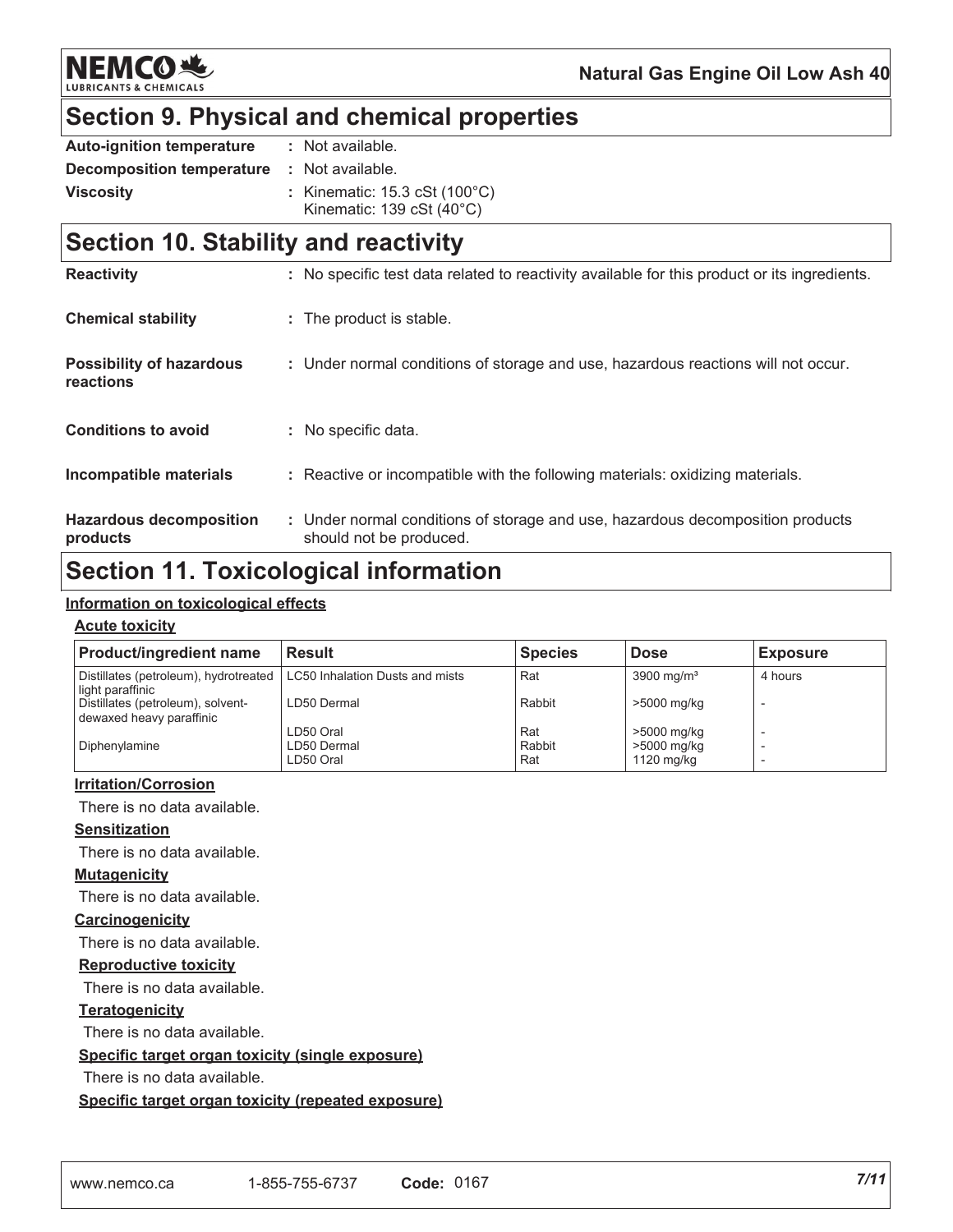**NEMCO头** 

## **Section 9. Physical and chemical properties**

| <b>Auto-ignition temperature</b> | : Not available.                                    |
|----------------------------------|-----------------------------------------------------|
| Decomposition temperature        | : Not available.                                    |
| <b>Viscosity</b>                 | : Kinematic: 15.3 cSt (100°C)                       |
|                                  | Kinematic: $139 \text{ cSt } (40^{\circ} \text{C})$ |

## **Section 10. Stability and reactivity**

| <b>Reactivity</b>                            | : No specific test data related to reactivity available for this product or its ingredients.              |
|----------------------------------------------|-----------------------------------------------------------------------------------------------------------|
| <b>Chemical stability</b>                    | : The product is stable.                                                                                  |
| <b>Possibility of hazardous</b><br>reactions | : Under normal conditions of storage and use, hazardous reactions will not occur.                         |
| <b>Conditions to avoid</b>                   | : No specific data.                                                                                       |
| Incompatible materials                       | : Reactive or incompatible with the following materials: oxidizing materials.                             |
| <b>Hazardous decomposition</b><br>products   | : Under normal conditions of storage and use, hazardous decomposition products<br>should not be produced. |

## **Section 11. Toxicological information**

#### <u>Information on toxicological effects</u>

#### <u>Acute toxicity</u>

| <b>Result</b>                   | <b>Species</b>           | <b>Dose</b>           | <b>Exposure</b>           |
|---------------------------------|--------------------------|-----------------------|---------------------------|
| LC50 Inhalation Dusts and mists | Rat                      | $3900 \text{ mg/m}^3$ | 4 hours                   |
| LD50 Dermal                     | Rabbit                   | >5000 mg/kg           |                           |
| LD50 Oral                       | Rat                      | >5000 mg/kg           |                           |
|                                 |                          |                       |                           |
|                                 | LD50 Dermal<br>LD50 Oral | Rabbit<br>Rat         | >5000 mg/kg<br>1120 mg/kg |

#### <u>**Irritation/Corrosion</u>**</u>

There is no data available.

#### <u>Sensitization</u>

There is no data available.

#### <u>**Mutagenicity</u>**</u>

There is no data available.

#### <u>Carcinogenicity</u>

There is no data available.

#### <u>Reproductive toxicity</u>

There is no data available.

#### <u>Teratogenicity</u>

There is no data available.

#### <u>**<u>Specific target organ toxicity (single exposure)</u>**</u>

There is no data available.

<u>**<u>Specific target organ toxicity (repeated exposure)</u>**</u>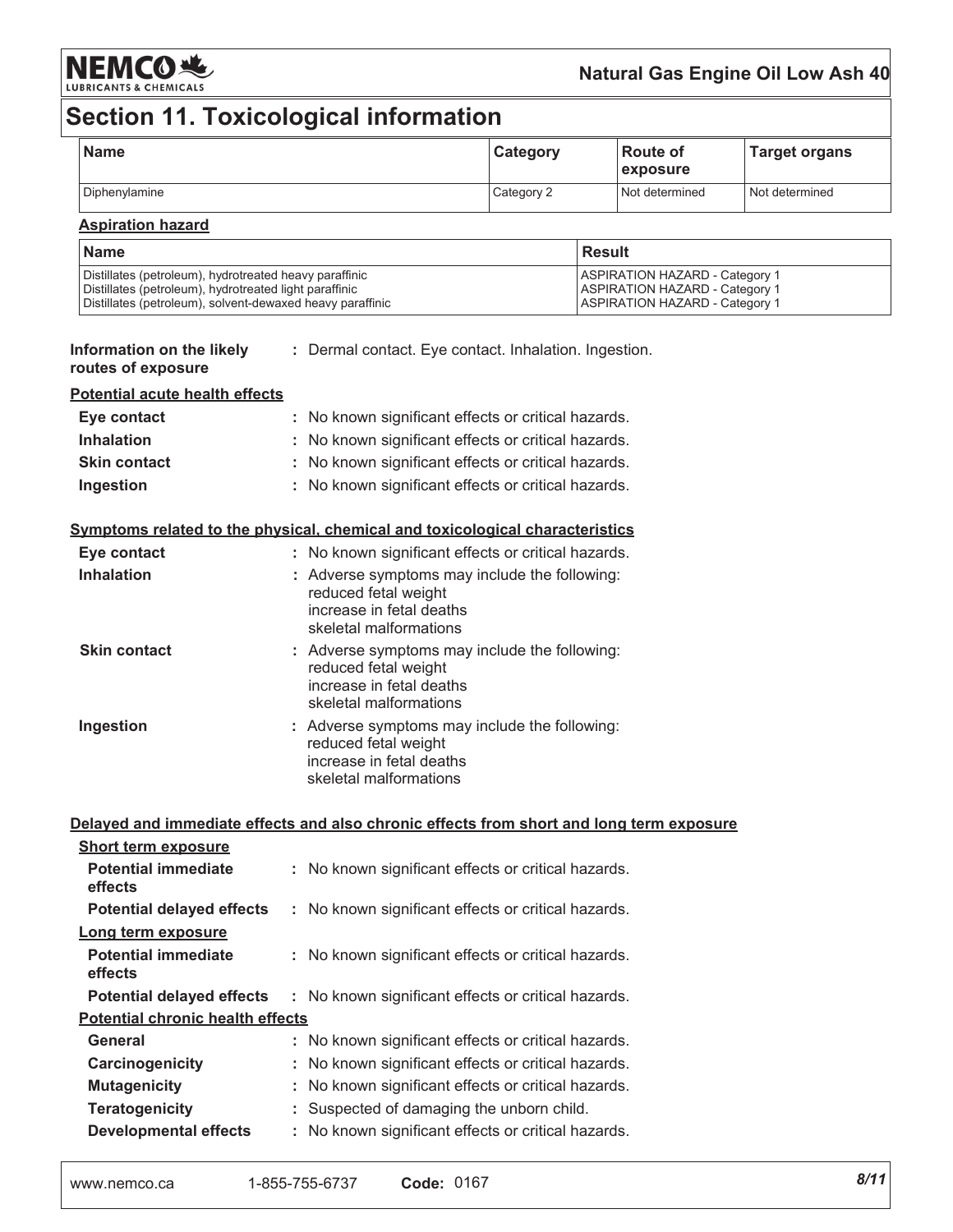

### Natural Gas Engine Oil Low Ash 40

# Section 11. Toxicological information

| <b>Name</b>   | Category   | l Route of<br><i><b>Lexposure</b></i> | <b>Target organs</b> |
|---------------|------------|---------------------------------------|----------------------|
| Diphenylamine | Category 2 | Not determined                        | l Not determined     |

#### **Aspiration hazard**

| l Name                                                    | l Result                              |
|-----------------------------------------------------------|---------------------------------------|
| Distillates (petroleum), hydrotreated heavy paraffinic    | <b>ASPIRATION HAZARD - Category 1</b> |
| Distillates (petroleum), hydrotreated light paraffinic    | <b>ASPIRATION HAZARD - Category 1</b> |
| Distillates (petroleum), solvent-dewaxed heavy paraffinic | <b>ASPIRATION HAZARD - Category 1</b> |

| Information on the likely | : Dermal contact. Eye contact. Inhalation. Ingestion. |  |  |
|---------------------------|-------------------------------------------------------|--|--|
| routes of exposure        |                                                       |  |  |

#### **Potential acute health effects**

| Eye contact         | : No known significant effects or critical hazards. |
|---------------------|-----------------------------------------------------|
| <b>Inhalation</b>   | : No known significant effects or critical hazards. |
| <b>Skin contact</b> | : No known significant effects or critical hazards. |
| Ingestion           | : No known significant effects or critical hazards. |

#### Symptoms related to the physical, chemical and toxicological characteristics

| Eye contact         | : No known significant effects or critical hazards.                                                                         |
|---------------------|-----------------------------------------------------------------------------------------------------------------------------|
| <b>Inhalation</b>   | : Adverse symptoms may include the following:<br>reduced fetal weight<br>increase in fetal deaths<br>skeletal malformations |
| <b>Skin contact</b> | : Adverse symptoms may include the following:<br>reduced fetal weight<br>increase in fetal deaths<br>skeletal malformations |
| Ingestion           | : Adverse symptoms may include the following:<br>reduced fetal weight<br>increase in fetal deaths<br>skeletal malformations |

|                                         |  | Delayed and immediate effects and also chronic effects from short and long term exposure |  |
|-----------------------------------------|--|------------------------------------------------------------------------------------------|--|
| <b>Short term exposure</b>              |  |                                                                                          |  |
| <b>Potential immediate</b><br>effects   |  | : No known significant effects or critical hazards.                                      |  |
| <b>Potential delayed effects</b>        |  | : No known significant effects or critical hazards.                                      |  |
| Long term exposure                      |  |                                                                                          |  |
| <b>Potential immediate</b><br>effects   |  | : No known significant effects or critical hazards.                                      |  |
| Potential delayed effects               |  | : No known significant effects or critical hazards.                                      |  |
| <b>Potential chronic health effects</b> |  |                                                                                          |  |
| General                                 |  | : No known significant effects or critical hazards.                                      |  |
| Carcinogenicity                         |  | : No known significant effects or critical hazards.                                      |  |
| <b>Mutagenicity</b>                     |  | : No known significant effects or critical hazards.                                      |  |
| <b>Teratogenicity</b>                   |  | : Suspected of damaging the unborn child.                                                |  |
| <b>Developmental effects</b>            |  | : No known significant effects or critical hazards.                                      |  |
|                                         |  |                                                                                          |  |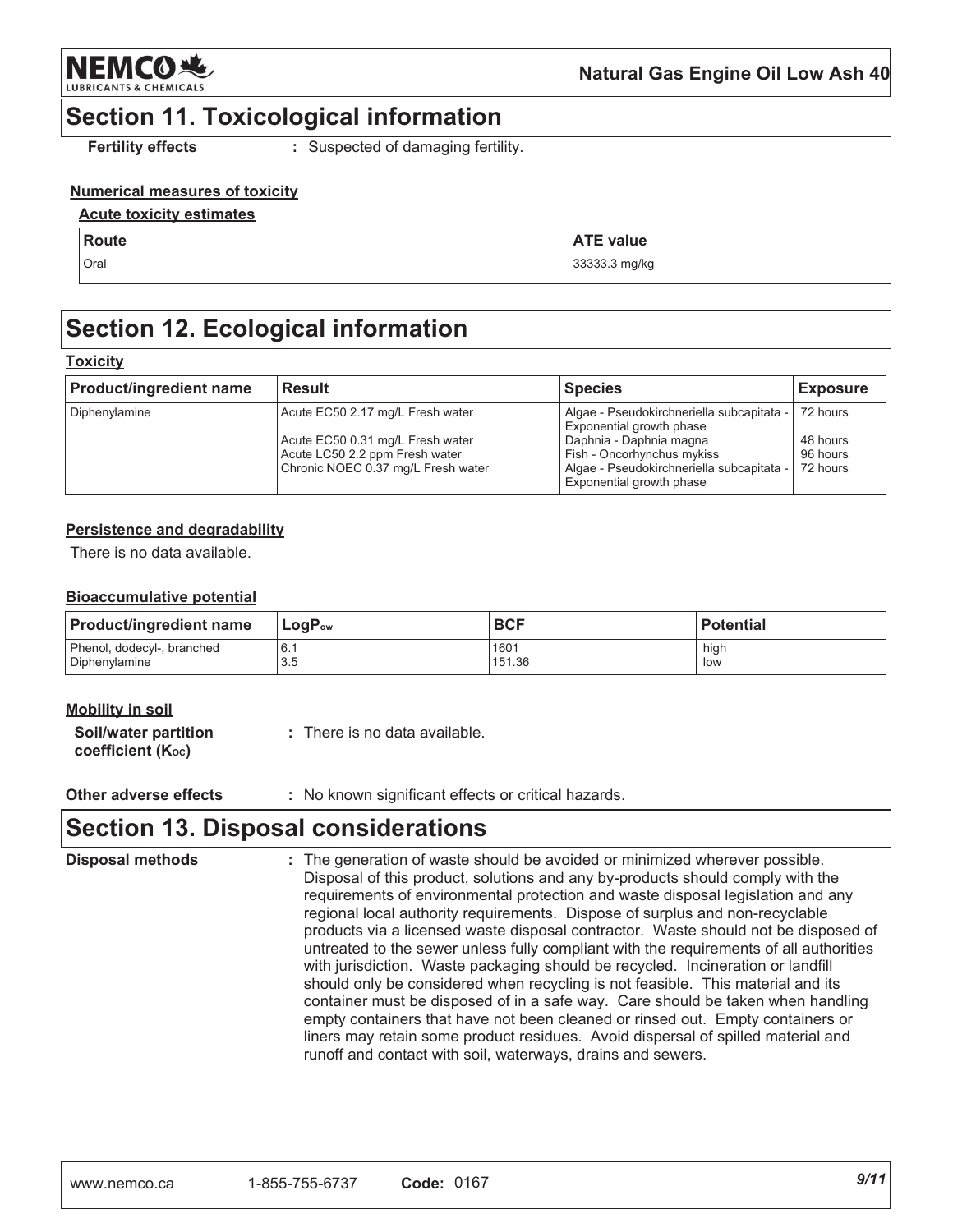

## **Section 11. Toxicological information**

**Fertility effects** 

: Suspected of damaging fertility.

### **Numerical measures of toxicity**

#### **Acute toxicity estimates**

| Route | . Tr<br>ˈ value<br>$\mathbf{A}$<br>1 E .<br>n i |
|-------|-------------------------------------------------|
| Oral  | 33333.3 mg/kg                                   |

## **Section 12. Ecological information**

#### **Toxicity**

| <b>Product/ingredient name</b> | Result                                                                                                   | <b>Species</b>                                                                                                                 | <b>Exposure</b>                  |
|--------------------------------|----------------------------------------------------------------------------------------------------------|--------------------------------------------------------------------------------------------------------------------------------|----------------------------------|
| Diphenylamine                  | Acute EC50 2.17 mg/L Fresh water                                                                         | Algae - Pseudokirchneriella subcapitata -<br><b>Exponential growth phase</b>                                                   | 72 hours                         |
|                                | Acute EC50 0.31 mg/L Fresh water<br>Acute LC50 2.2 ppm Fresh water<br>Chronic NOEC 0.37 mg/L Fresh water | Daphnia - Daphnia magna<br>Fish - Oncorhynchus mykiss<br>Algae - Pseudokirchneriella subcapitata -<br>Exponential growth phase | 48 hours<br>96 hours<br>72 hours |

#### Persistence and degradability

There is no data available

#### **Bioaccumulative potential**

| <b>Product/ingredient name</b> | <b>LogP</b> <sub>ow</sub> | <b>BCF</b> | <b>Potential</b> |
|--------------------------------|---------------------------|------------|------------------|
| Phenol, dodecyl-, branched     | 6.1                       | 1601       | high             |
| Diphenylamine                  | 3.5                       | 151.36     | low              |

| Mobility in soil                                      |                               |
|-------------------------------------------------------|-------------------------------|
| Soil/water partition<br>coefficient $(K_{\text{oc}})$ | : There is no data available. |

Other adverse effects : No known significant effects or critical hazards.

## **Section 13. Disposal considerations**

**Disposal methods** : The generation of waste should be avoided or minimized wherever possible. Disposal of this product, solutions and any by-products should comply with the requirements of environmental protection and waste disposal legislation and any regional local authority requirements. Dispose of surplus and non-recyclable products via a licensed waste disposal contractor. Waste should not be disposed of untreated to the sewer unless fully compliant with the requirements of all authorities with jurisdiction. Waste packaging should be recycled. Incineration or landfill should only be considered when recycling is not feasible. This material and its container must be disposed of in a safe way. Care should be taken when handling empty containers that have not been cleaned or rinsed out. Empty containers or liners may retain some product residues. Avoid dispersal of spilled material and runoff and contact with soil, waterways, drains and sewers.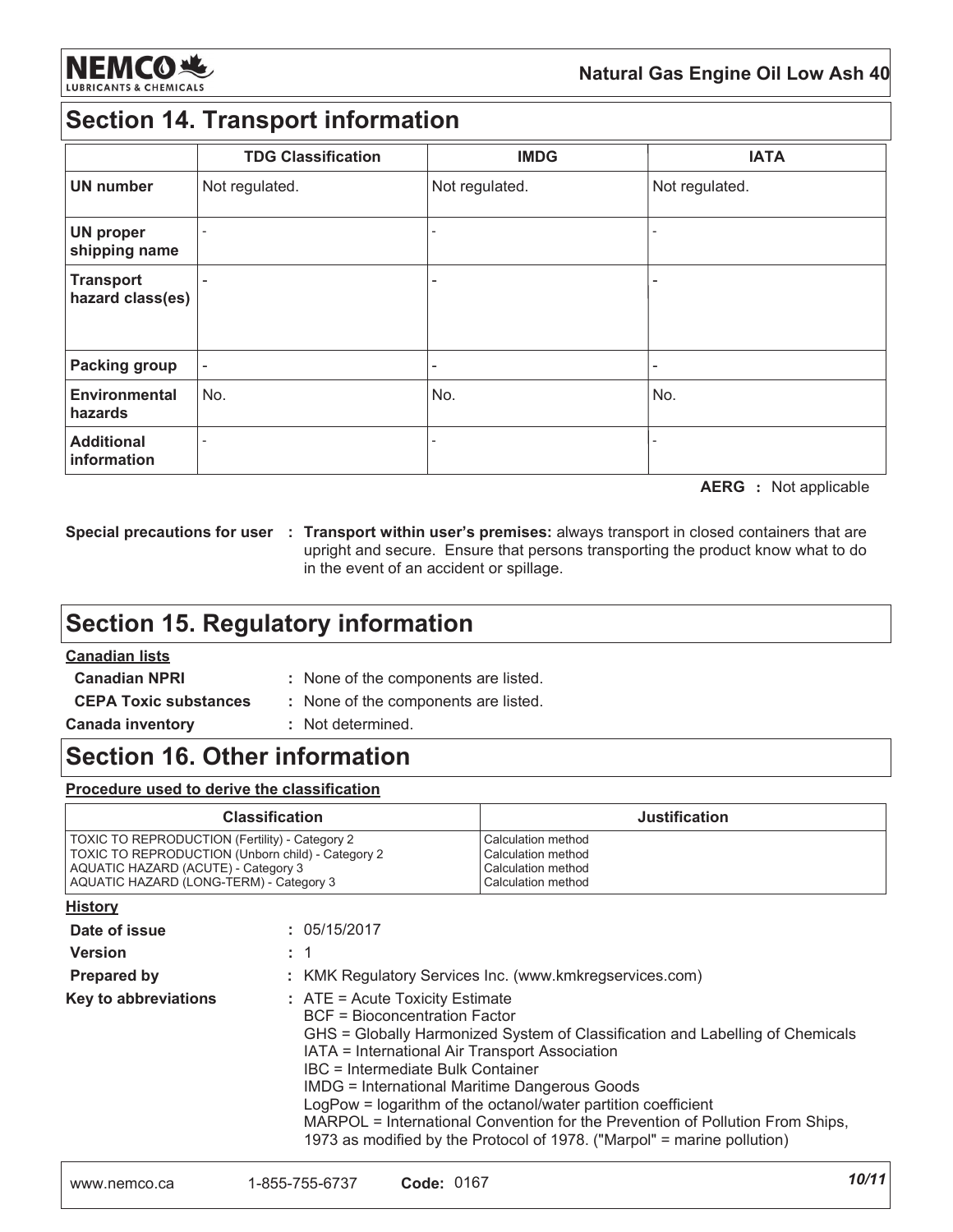

## **Section 14. Transport information**

|                                      | <b>TDG Classification</b> | <b>IMDG</b>              | <b>IATA</b>    |
|--------------------------------------|---------------------------|--------------------------|----------------|
| <b>UN number</b>                     | Not regulated.            | Not regulated.           | Not regulated. |
| <b>UN proper</b><br>shipping name    | ۰                         | $\overline{\phantom{a}}$ |                |
| <b>Transport</b><br>hazard class(es) |                           | $\overline{\phantom{a}}$ |                |
| <b>Packing group</b>                 |                           | ٠                        |                |
| <b>Environmental</b><br>hazards      | No.                       | No.                      | No.            |
| <b>Additional</b><br>information     |                           |                          |                |

**AERG** : Not applicable

Special precautions for user : Transport within user's premises: always transport in closed containers that are upright and secure. Ensure that persons transporting the product know what to do in the event of an accident or spillage.

## **Section 15. Regulatory information**

### **Canadian lists**

**The County** 

: None of the components are listed.

- **Canadian NPRI CEPA Toxic substances Canada inventory**
- : None of the components are listed.
- : Not determined.

### **Section 16. Other information**

Procedure used to derive the classification

| <b>Classification</b>                             | <b>Justification</b> |
|---------------------------------------------------|----------------------|
| TOXIC TO REPRODUCTION (Fertility) - Category 2    | l Calculation method |
| TOXIC TO REPRODUCTION (Unborn child) - Category 2 | l Calculation method |
| AQUATIC HAZARD (ACUTE) - Category 3               | l Calculation method |
| AQUATIC HAZARD (LONG-TERM) - Category 3           | l Calculation method |

| <b>HISTORY</b>       |                                                                                                                                                                                                                                                                                                                                                                                                                                                                                                                               |
|----------------------|-------------------------------------------------------------------------------------------------------------------------------------------------------------------------------------------------------------------------------------------------------------------------------------------------------------------------------------------------------------------------------------------------------------------------------------------------------------------------------------------------------------------------------|
| Date of issue        | : 05/15/2017                                                                                                                                                                                                                                                                                                                                                                                                                                                                                                                  |
| <b>Version</b>       | : 1                                                                                                                                                                                                                                                                                                                                                                                                                                                                                                                           |
| <b>Prepared by</b>   | : KMK Regulatory Services Inc. (www.kmkregservices.com)                                                                                                                                                                                                                                                                                                                                                                                                                                                                       |
| Key to abbreviations | : ATE = Acute Toxicity Estimate<br>BCF = Bioconcentration Factor<br>GHS = Globally Harmonized System of Classification and Labelling of Chemicals<br>IATA = International Air Transport Association<br>IBC = Intermediate Bulk Container<br><b>IMDG = International Maritime Dangerous Goods</b><br>LogPow = logarithm of the octanol/water partition coefficient<br>MARPOL = International Convention for the Prevention of Pollution From Ships,<br>1973 as modified by the Protocol of 1978. ("Marpol" = marine pollution) |